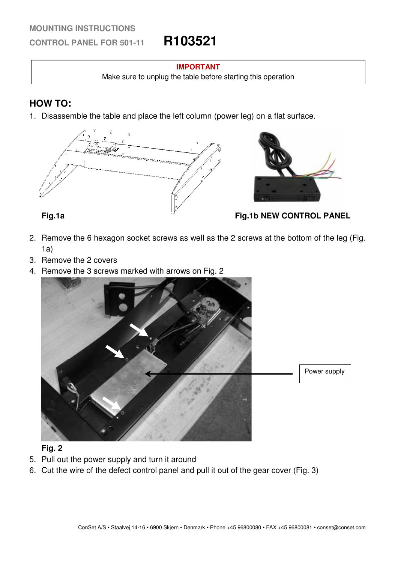### **MOUNTING INSTRUCTIONS**

**CONTROL PANEL FOR 501-11 R103521**

### **IMPORTANT**

Make sure to unplug the table before starting this operation

# **HOW TO:**

1. Disassemble the table and place the left column (power leg) on a flat surface.





**Fig.1a Fig.1b NEW CONTROL PANEL** 

- 2. Remove the 6 hexagon socket screws as well as the 2 screws at the bottom of the leg (Fig. 1a)
- 3. Remove the 2 covers
- 4. Remove the 3 screws marked with arrows on Fig. 2



## **Fig. 2**

- 5. Pull out the power supply and turn it around
- 6. Cut the wire of the defect control panel and pull it out of the gear cover (Fig. 3)